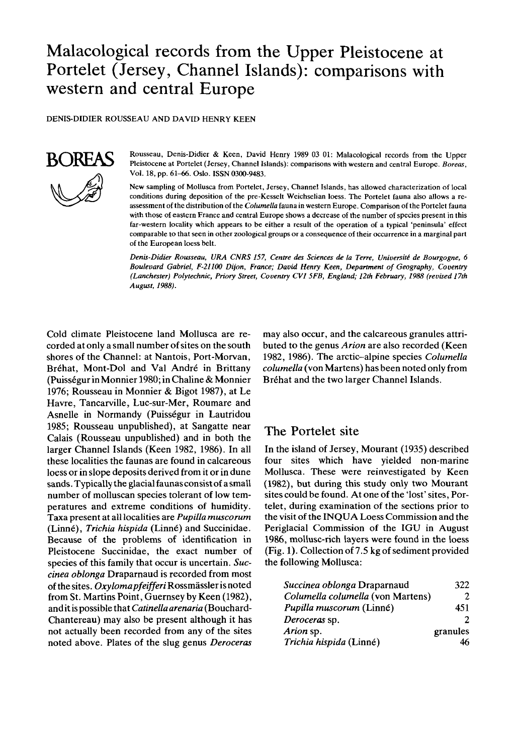# Malacological records from the Upper Pleistocene at Portelet (Jersey, Channel Islands): comparisons with western and central Europe

**DENIS-DIDIER ROUSSEAU AND DAVID HENRY KEEN** 



**Rousseau, Denis-Didier** & **Keen, David Henry 1989 03 01: Malacological records from the Upper Pleistocene at Portelet (Jersey, Channel Islands): comparisons with western and central Europe.** *Boreas,*  **Vol. 18, pp. 61-66. Oslo. ISSN 0300-9483.** 

**New sampling of Mollusca from Portelet, Jersey, Channel Islands, has allowed characterization of local conditions during deposition of the pre-Kesselt Weichselian loess. The Portelet fauna also allows a reassessment of the distribution of the** *Columella* **fauna in western Europe. Comparison of the Portelet fauna**  with those of eastern France and central Europe shows a decrease of the number of species present in this **far-westem locality which appears to be either a result of the operation of a typical 'peninsula' effect comparable to that seen** in **other zoological groups or a consequence of their occurrence in a marginal part of the European loess belt.** 

*Denis-Didier Rousseau, LIRA CNRS 157, Centre des Sciences de la Terre, Universitt! de Bourgogne, 6 Boulevard Gabriel, F-21100 Dijon, France; David Henry Keen, Department* **of** *Geography, Coventry (Lanchester) Polytechnic, Priory Street, Coventry CVI 5FB, England; 12th February, 1988 (revised 17th August, 1988).* 

Cold climate Pleistocene land Mollusca are recorded at only a small number of sites on the south shores of the Channel: at Nantois, Port-Morvan, Bréhat, Mont-Dol and Val André in Brittany (Puisségur in Monnier 1980; in Chaline & Monnier 1976; Rousseau in Monnier & Bigot 1987), at Le Havre, Tancarville, Luc-sur-Mer, Roumare and Asnelle in Normandy (Puisségur in Lautridou 1985; Rousseau unpublished), at Sangatte near Calais (Rousseau unpublished) and in both the larger Channel Islands (Keen 1982, 1986). In all these localities the faunas are found in calcareous loess or in slope deposits derived from it or in dune sands. Typically the glacial faunasconsist of a small number of molluscan species tolerant of low temperatures and extreme conditions of humidity. Taxa present at all localities are *Pupilla muscorum*  (Linné), *Trichia hispida* (Linné) and Succinidae. Because of the problems of identification in Pleistocene Succinidae, the exact number of species of this family that occur is uncertain. *Succinea oblonga* Draparnaud is recorded from most of the sites. *Oxylomapfeifferi* Rossmassler is noted from St. Martins Point, Guernsey by Keen (1982), andit is possible that *Catinella arenaria* (Bouchard-Chantereau) may also be present although it has not actually been recorded from any of the sites noted above. Plates of the slug genus *Deroceras* 

may also occur, and the calcareous granules attributed to the genus *Arion* are also recorded (Keen 1982, 1986). The arctic-alpine species *Columella columella* (von Martens) has been noted only from Bréhat and the two larger Channel Islands.

## **The** Portelet **site**

In the island of Jersey, Mourant (1935) described four sites which have yielded non-marine Mollusca. These were reinvestigated by Keen (1982), but during this study only two Mourant sites could be found. At one of the 'lost' sites, Portelet, during examination of the sections prior to the visit of the INQUA Loess Commission and the Penglacial Commission of the IGU in August 1986, mollusc-rich layers were found in the loess (Fig. 1). Collection of 7.5 kg of sediment provided the following Mollusca:

| Succinea oblonga Draparnaud       | 322      |
|-----------------------------------|----------|
| Columella columella (von Martens) |          |
| Pupilla muscorum (Linné)          | 451      |
| Deroceras sp.                     |          |
| Arion sp.                         | granules |
| Trichia hispida (Linné)           |          |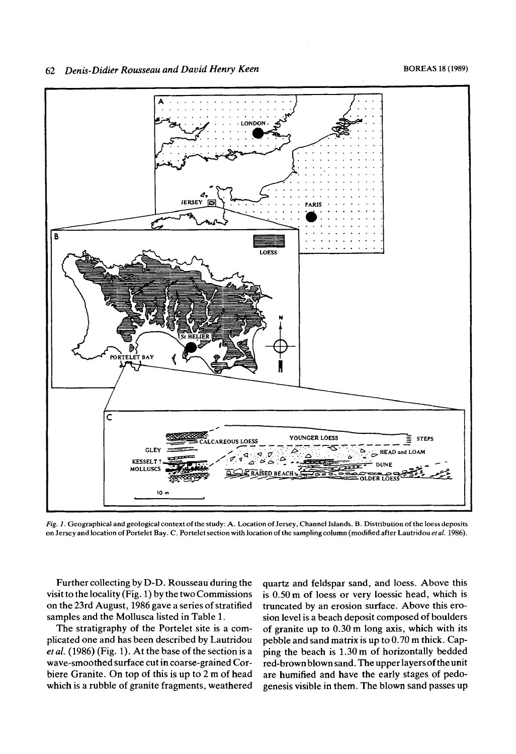

*Fig. 1.* **Geographical and geological context of the study: A. Location of Jersey, Channel Islands. B. Distribution of the loess deposits on Jersey and location of Portelet Bay.** C. **Portelet section with location of the sampling column (modified after Lautridou ef** *al.* 1986).

Further collecting by D-D. Rousseau during the visit to the locality (Fig. 1) by the two Commissions on the 23rd August, 1986 gave a series of stratified samples and the Mollusca listed in Table 1.

The stratigraphy of the Portelet site is a complicated one and has been described by Lautridou *et al.* (1986) (Fig. 1). At the base of the section is a wave-smoothed surface cut in coarse-grained Corbiere Granite. On top of this is up to 2 m of head which is a rubble of granite fragments, weathered

quartz and feldspar sand, and loess. Above this is 0.50m of loess or very loessic head, which is truncated by an erosion surface. Above this erosion level is a beach deposit composed of boulders of granite up to 0.30 m long axis, which with its pebble and sand matrix is up to 0.70 m thick. Capping the beach is 1.30m of horizontally bedded red-brown blown sand. The upper layers of the unit are humified and have the early stages of pedogenesis visible in them. The blown sand passes up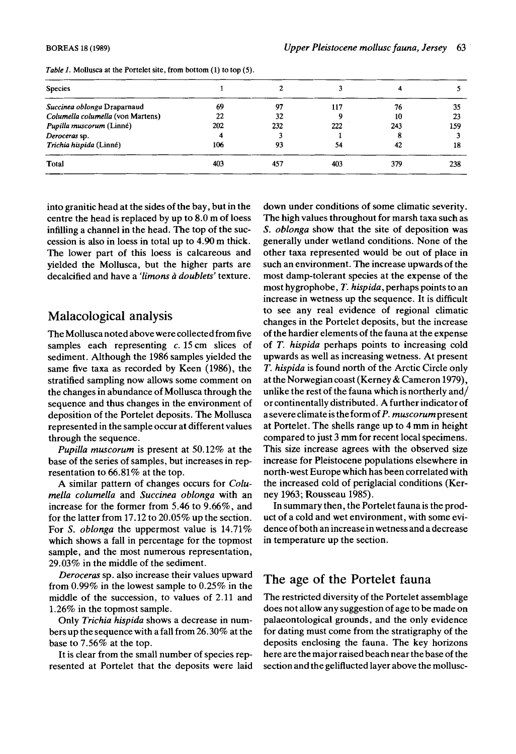| <b>Species</b>                    |     |     |     |     |     |
|-----------------------------------|-----|-----|-----|-----|-----|
| Succinea oblonga Draparnaud       | 69  | 97  | 117 | 76  | 35  |
| Columella columella (von Martens) | 22  | 32  |     | 10  | 23  |
| Pupilla muscorum (Linné)          | 202 | 232 | 222 | 243 | 159 |
| Deroceras sp.                     |     |     |     |     |     |
| Trichia hispida (Linné)           | 106 | 93  | 54  | 42  | 18  |
| Total                             | 403 | 457 | 403 | 379 | 238 |

*Table 1.* Mollusca at the Portelet site, from bottom (1) to top (5).

into granitic head at the sides of the bay, but in the centre the head is replaced by up to 8.0 m of loess infilling a channel in the head. The top of the succession is also in loess in total up to **4.90** m thick. The lower part of this loess is calcareous and yielded the Mollusca, but the higher parts are decalcified and have a *'limons a* doublets' texture.

### Malacological analysis

The Mollusca noted above were collected from five samples each representing  $c$ . 15 cm slices of sediment. Although the 1986 samples yielded the same five taxa as recorded by Keen (1986), the stratified sampling now allows some comment on the changes in abundance of Mollusca through the sequence and thus changes in the environment of deposition of the Portelet deposits. The Mollusca represented in the sample occur at different values through the sequence.

Pupilla muscorum is present at 50.12% at the base of the series of samples, but increases in representation to 66.81% at the top.

A similar pattern of changes occurs for Columella columella and Succinea oblonga with an increase for the former from 5.46 to 9.66%, and for the latter from 17.12 to 20.05% up the section. For S. *oblonga* the uppermost value is 14.71% which shows a fall in percentage for the topmost sample, and the most numerous representation, 29.03% in the middle of the sediment.

Deroceras sp. also increase their values upward from 0.99% in the lowest sample to 0.25% in the middle of the succession, to values of 2.11 and 1.26% in the topmost sample.

Only Trichia hispida shows a decrease in numbers up the sequence with a fall from 26.30% at the base to 7.56% at the top.

It is clear from the small number of species represented at Portelet that the deposits were laid down under conditions of some climatic severity. The high values throughout for marsh taxa such as **S.** oblonga show that the site of deposition was generally under wetland conditions. None of the other taxa represented would be out of place in such an environment. The increase upwards of the most damp-tolerant species at the expense of the most hygrophobe, T. hispida, perhaps points to an increase in wetness up the sequence. It is difficult to see any real evidence of regional climatic changes in the Portelet deposits, but the increase of the hardier elements of the fauna at the expense of T. hispida perhaps points to increasing cold upwards as well as increasing wetness. At present T. hispida is found north of the Arctic Circle only at the Norwegian coast (Kerney & Cameron 1979), unlike the rest of the fauna which is northerly and/ or continentally distributed. A further indicator of asevereclimate is the form of P. muscorumpresent at Portelet. The shells range up to 4 mm in height compared to just 3 mm for recent local specimens. This size increase agrees with the observed size increase for Pleistocene populations elsewhere in north-west Europe which has been correlated with the increased cold of periglacial conditions (Kerney 1963; Rousseau 1985).

In summary then, the Portelet fauna is the product of a cold and wet environment, with some evidence of both an increase in wetness and a decrease in temperature up the section.

# The age of the Portelet fauna

The restricted diversity of the Portelet assemblage does not allow any suggestion of age to be made on palaeontological grounds, and the only evidence for dating must come from the stratigraphy of the deposits enclosing the fauna. The key horizons here are the major raised beach near the base of the section and the geliflucted layer above the mollusc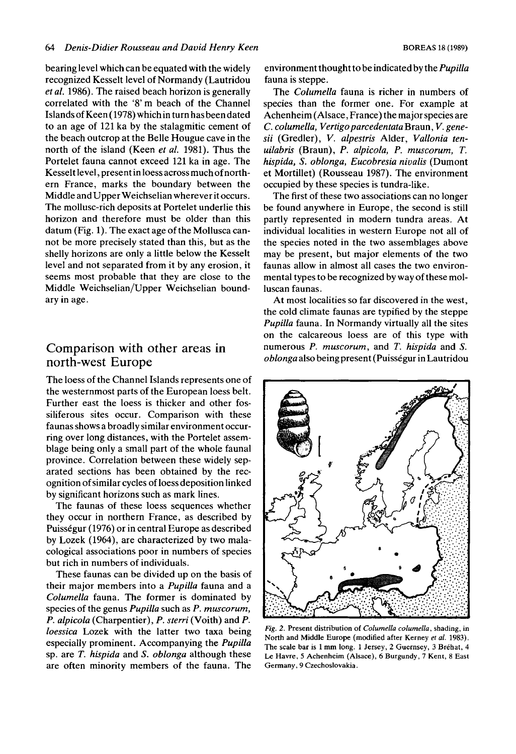bearing level which can be equated with the widely recognized Kesselt level of Normandy (Lautridou *et al.* 1986). The raised beach horizon is generally correlated with the '8' m beach of the Channel Islands of Keen (1978) which in turn has been dated to an age of 121 ka by the stalagmitic cement of the beach outcrop at the Belle Hougue cave in the north of the island (Keen *et* al. 1981). Thus the Portelet fauna cannot exceed 121 ka in age. The Kesselt level, present in loess across much of northern France, marks the boundary between the Middle and Upper Weichselian wherever it occurs. The mollusc-rich deposits at Portelet underlie this horizon and therefore must be older than this datum (Fig. 1). The exact age of the Mollusca cannot be more precisely stated than this, but as the shelly horizons are only a little below the Kesselt level and not separated from it by any erosion, it seems most probable that they are close to the Middle Weichselian/Upper Weichselian boundary in age.

# Comparison with other areas **in**  north-west Europe

The loess of the Channel Islands represents one of the westernmost parts of the European loess belt. Further east the loess is thicker and other fossiliferous sites occur. Comparison with these faunas shows a broadly similar environment occurring over long distances, with the Portelet assemblage being only a small part of the whole faunal province. Correlation between these widely separated sections has been obtained by the recognition of similar cycles of loess deposition linked by significant horizons such as mark lines.

The faunas of these loess sequences whether they occur in northern France, as described by Puisségur (1976) or in central Europe as described by Lozek (1964), are characterized by two malacological associations poor in numbers of species but rich in numbers of individuals.

These faunas can be divided up on the basis of their major members into **a** *Pupilla* fauna and a *Columella* fauna. The former is dominated by species of the genus *Pupilla* such as *P. muscorum*, *P. alpicola* (Charpentier), *P. sterri* (Voith) and *P. loessica* Lozek with the latter two taxa being especially prominent. Accompanying the *Pupilla*  sp. are *T. hispida* and *S. oblonga* although these are often minority members of the fauna. The

environment thought to be indicated by the *Pupilla*  fauna is steppe.

The *Columella* fauna is richer in numbers of species than the former one. For example at Achenheim (Alsace, France) the major species are C. *columella, Vertigoparcedentata* Braun, *V. genesii* (Gredler), *V. alpestris* Alder, *Vallonia tenuilabris* (Braun), P. *alpicola,* P. *rnuscorurn, T. hispida, S. oblonga, Eucobresia nivalis* (Dumont et Mortillet) (Rousseau 1987). The environment occupied by these species is tundra-like.

The first of these two associations can no longer be found anywhere in Europe, the second is still partly represented in modem tundra areas. At individual localities in western Europe not all of the species noted in the two assemblages above may be present, but major elements of the two faunas allow in almost all cases the two environmental types to be recognized by way of these molluscan faunas.

At most localities so far discovered in the west, the cold climate faunas are typified by the steppe *Pupilla* fauna. In Normandy virtually all the sites on the calcareous loess are of this type with numerous P. *muscorum*, and *T. hispida* and *S. oblonga* also being present (Puissegur in Lautridou



*Fig.* **2. Present distribution of** *Columella columella,* **shading, in North and Middle Europe (modified after Kerney** *et a/.* 1983). **The scale bar is 1 mm long.** 1 **Jersey, 2 Guernsey, 3 Brehat, 4 Le Havre, 5 Achenheim (Alsace), 6 Burgundy, 7 Kent, 8 East**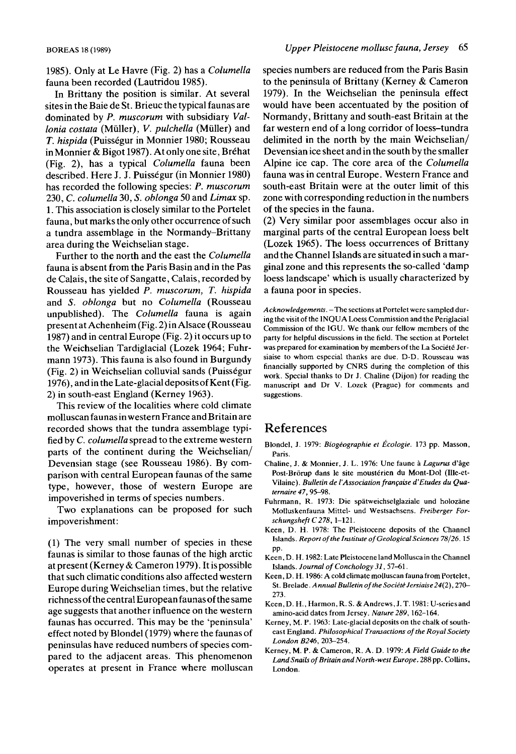1985). Only at Le Havre (Fig. 2) has a *Columella*  fauna been recorded (Lautridou 1985).

In Brittany the position is similar. At several sites in the Baie de St. Brieuc the typical faunas are dominated by *P. muscorum* with subsidiary *Vallonia costata* (Miiller), *V. pulchella* (Miiller) and *T. hispida* (Puisségur in Monnier 1980; Rousseau in Monnier & Bigot 1987). At only one site, Bréhat (Fig. 2), has a typical *Columella* fauna been described. Here J. J. Puisségur (in Monnier 1980) has recorded the following species: *P. muscorum*  230, C. *columella* 30, *S. oblonga* 50 and *Lima* sp. 1. This association is closely similar to the Portelet fauna, but marks the only other occurrence of such a tundra assemblage in the Normandy-Brittany area during the Weichselian stage.

Further to the north and the east the *Columella*  fauna is absent from the Paris Basin and in the Pas de Calais, the site of Sangatte, Calais, recorded by Rousseau has yielded *P. muscorum, T. hispida*  and *S. oblonga* but no *Columella* (Rousseau unpublished). The *Columella* fauna is again present at Achenheim (Fig. 2) in Alsace (Rousseau 1987) and in central Europe (Fig. 2) it occurs up to the Weichselian Tardiglacial (Lozek 1964; Fuhrmann 1973). This fauna is also found in Burgundy (Fig. *2)* in Weichselian colluvial sands (Puissegur 1976), and in the Late-glacial deposits of Kent (Fig. **2)** in south-east England (Kerney 1963).

This review of the localities where cold climate molluscan faunas in western France and Britain are recorded shows that the tundra assemblage typified by c. *columella* spread to the extreme western parts of the continent during the Weichselian/ Devensian stage (see Rousseau 1986). By comparison with central European faunas of the same type, however, those of western Europe are impoverished in terms of species numbers.

Two explanations can be proposed for such impoverishment:

(1) The very small number of species in these faunas is similar to those faunas of the high arctic at present (Kerney & Cameron 1979). It is possible that such climatic conditions also affected western Europe during Weichselian times, but the relative richnessof the central Europeanfaunasof the same age suggests that another influence on the western faunas has occurred. This may be the 'peninsula' effect noted by Blonde1 (1979) where the faunas of peninsulas have reduced numbers of species compared to the adjacent areas. This phenomenon operates at present in France where molluscan species numbers are reduced from the Paris Basin to the peninsula of Brittany (Kerney & Cameron 1979). In the Weichselian the peninsula effect would have been accentuated by the position of Normandy, Brittany and south-east Britain at the far western end of a long corridor of loess-tundra delimited in the north by the main Weichselian/ Devensian ice sheet and in the south by the smaller Alpine ice cap. The core area of the *Columella*  fauna was in central Europe. Western France and south-east Britain were at the outer limit of this zone with corresponding reduction in the numbers of the species in the fauna.

**(2)** Very similar poor assemblages occur also in marginal parts of the central European loess belt (Lozek 1965). The loess occurrences of Brittany and the Channel Islands are situated in such a marginal zone and this represents the so-called 'damp loess landscape' which is usually characterized by a fauna poor in species.

*Acknowledgements.* **-The sections at Portelet were sampled during the visit of the INQUA Loess Commission and the Periglacial Commission of the IGU. We thank** our **fellow members of the party for helpful discussions in the field. The section at Portelet was prepared for examination by members of the La Societe Jersiaise to whom especial thanks are due. D-D. Rousseau was financially supported by CNRS during the completion of this work. Special thanks to Dr J. Chaline (Dijon) for reading the manuscript and Dr V. Lozek (Prague) for comments and suggestions.** 

### **References**

- Blondel, J. 1979: *Biogéographie et Écologie*. 173 pp. Masson, **Pans.**
- **Chaline, J.** & **Monnier, J. L.** 1976: **Une faune** a *Lagurus* **d'8ge**  Post-Brörup dans le site moustérien du Mont-Dol (Ille-et-Vilaine). Bulletin de l'Association française d'Etudes du Qua*ternaire* 47, 95-98.
- **Fuhrmann, R.** 1973: **Die spatweichselglaziale und holozane Molluskenfauna Mittel- und Westsachsens.** *Freiberger Forschungsheft* C278, 1-121.
- **Keen, D. H.** 1978: **The Pleistocene deposits of the Channel Islands.** *Report* **of** *the Institute of Geological Sciences* 78/26. 15 **PP.**
- **Keen, D. H.** 1982: **Late Pleistocene IandMolluscain thechannel Islands. Journal of Conchology 31, 57-61.**
- **Keen,** D. H. 1986: Acoldclimatemolluscanfaunafrom **Portelet,**  St. Brelade. *Annual Bulletin of the Société Jersiaise* 24(2), 270-273.
- Keen, D. H., Harmon, R. S. & Andrews, J. T. 1981: U-series and **amino-acid dates from Jersey.** *Nature 289,* 162-164.
- **Kerney, M.** P. 1963: **Late-glacial deposits** on **the chalk of southeast England.** *Philosophical Transactions* **of** *the Royal Society*  London B246, 203-254.
- Kerney, M. P. & Cameron, R. A. D. 1979: A Field Guide to the *LandSnaiLsof BritainandNorrh-west Europe.* **288pp. Collins, London.**